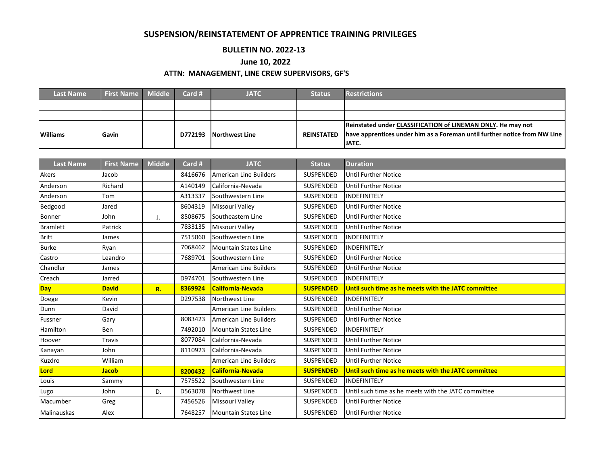## **SUSPENSION/REINSTATEMENT OF APPRENTICE TRAINING PRIVILEGES**

## **BULLETIN NO. 2022-13**

## **June 10, 2022**

## **ATTN: MANAGEMENT, LINE CREW SUPERVISORS, GF'S**

| <b>Last Name</b> | <b>First Name Middle</b> | Card #  | <b>JATC</b>    | <b>Status</b> | <b>Restrictions</b>                                                       |
|------------------|--------------------------|---------|----------------|---------------|---------------------------------------------------------------------------|
|                  |                          |         |                |               |                                                                           |
|                  |                          |         |                |               |                                                                           |
|                  |                          |         |                |               | Reinstated under CLASSIFICATION of LINEMAN ONLY. He may not               |
| <b>Williams</b>  | Gavin                    | D772193 | Northwest Line | REINSTATED    | have apprentices under him as a Foreman until further notice from NW Line |
|                  |                          |         |                |               | IJATC.                                                                    |

| <b>Last Name</b> | <b>First Name</b> | <b>Middle</b> | Card #  | <b>JATC</b>                   | <b>Status</b>    | <b>Duration</b>                                     |  |
|------------------|-------------------|---------------|---------|-------------------------------|------------------|-----------------------------------------------------|--|
| Akers            | Jacob             |               | 8416676 | <b>American Line Builders</b> | SUSPENDED        | <b>Until Further Notice</b>                         |  |
| Anderson         | Richard           |               | A140149 | California-Nevada             | SUSPENDED        | <b>Until Further Notice</b>                         |  |
| Anderson         | Tom               |               | A313337 | Southwestern Line             | SUSPENDED        | <b>INDEFINITELY</b>                                 |  |
| Bedgood          | Jared             |               | 8604319 | Missouri Valley               | SUSPENDED        | <b>Until Further Notice</b>                         |  |
| Bonner           | John              | J.            | 8508675 | Southeastern Line             | SUSPENDED        | <b>Until Further Notice</b>                         |  |
| <b>Bramlett</b>  | Patrick           |               | 7833135 | Missouri Valley               | SUSPENDED        | <b>Until Further Notice</b>                         |  |
| <b>Britt</b>     | James             |               | 7515060 | Southwestern Line             | SUSPENDED        | <b>INDEFINITELY</b>                                 |  |
| <b>Burke</b>     | Ryan              |               | 7068462 | <b>Mountain States Line</b>   | SUSPENDED        | <b>INDEFINITELY</b>                                 |  |
| Castro           | Leandro           |               | 7689701 | Southwestern Line             | SUSPENDED        | Until Further Notice                                |  |
| Chandler         | James             |               |         | <b>American Line Builders</b> | SUSPENDED        | <b>Until Further Notice</b>                         |  |
| Creach           | Jarred            |               | D974701 | Southwestern Line             | SUSPENDED        | <b>INDEFINITELY</b>                                 |  |
| Day              | <b>David</b>      | R.            | 8369924 | <b>California-Nevada</b>      | <b>SUSPENDED</b> | Until such time as he meets with the JATC committee |  |
| Doege            | Kevin             |               | D297538 | Northwest Line                | SUSPENDED        | INDEFINITELY                                        |  |
| Dunn             | David             |               |         | American Line Builders        | SUSPENDED        | Until Further Notice                                |  |
| Fussner          | Gary              |               | 8083423 | <b>American Line Builders</b> | SUSPENDED        | <b>Until Further Notice</b>                         |  |
| Hamilton         | Ben               |               | 7492010 | <b>Mountain States Line</b>   | SUSPENDED        | INDEFINITELY                                        |  |
| Hoover           | <b>Travis</b>     |               | 8077084 | California-Nevada             | SUSPENDED        | <b>Until Further Notice</b>                         |  |
| Kanayan          | John              |               | 8110923 | California-Nevada             | SUSPENDED        | <b>Until Further Notice</b>                         |  |
| Kuzdro           | William           |               |         | <b>American Line Builders</b> | SUSPENDED        | <b>Until Further Notice</b>                         |  |
| Lord             | <b>Jacob</b>      |               | 8200432 | California-Nevada             | <b>SUSPENDED</b> | Until such time as he meets with the JATC committee |  |
| Louis            | Sammy             |               | 7575522 | Southwestern Line             | SUSPENDED        | <b>INDEFINITELY</b>                                 |  |
| Lugo             | John              | D.            | D563078 | Northwest Line                | SUSPENDED        | Until such time as he meets with the JATC committee |  |
| Macumber         | Greg              |               | 7456526 | Missouri Valley               | SUSPENDED        | Until Further Notice                                |  |
| Malinauskas      | Alex              |               | 7648257 | <b>Mountain States Line</b>   | SUSPENDED        | <b>Until Further Notice</b>                         |  |